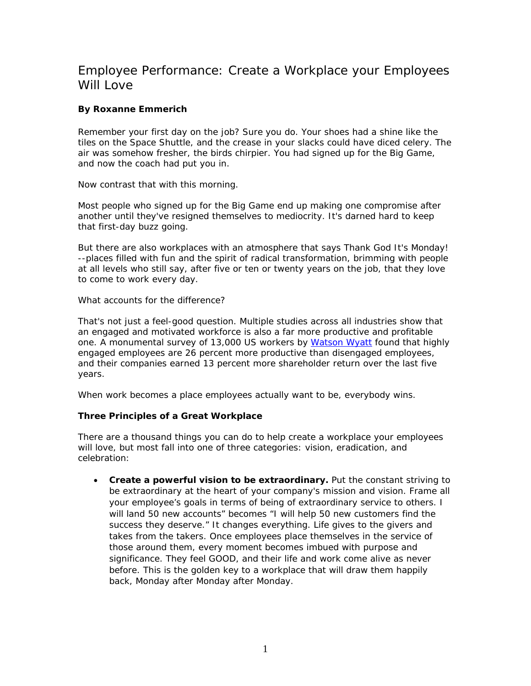## Employee Performance: Create a Workplace your Employees Will Love

## **By Roxanne Emmerich**

Remember your first day on the job? Sure you do. Your shoes had a shine like the tiles on the Space Shuttle, and the crease in your slacks could have diced celery. The air was somehow fresher, the birds chirpier. You had signed up for the Big Game, and now the coach had put you in.

Now contrast that with this morning.

Most people who signed up for the Big Game end up making one compromise after another until they've resigned themselves to mediocrity. It's darned hard to keep that first-day buzz going.

But there are also workplaces with an atmosphere that says Thank God It's Monday! --places filled with fun and the spirit of radical transformation, brimming with people at all levels who still say, after five or ten or twenty years on the job, that they love to come to work every day.

What accounts for the difference?

That's not just a feel-good question. Multiple studies across all industries show that an engaged and motivated workforce is also a far more productive and profitable one. A monumental survey of 13,000 US workers by [Watson Wyatt](http://www.watsonwyatt.com/news/press.asp?ID=20559) found that highly engaged employees are 26 percent more productive than disengaged employees, and their companies earned 13 percent more shareholder return over the last five years.

When work becomes a place employees actually want to be, everybody wins.

## **Three Principles of a Great Workplace**

There are a thousand things you can do to help create a workplace your employees will love, but most fall into one of three categories: vision, eradication, and celebration:

• **Create a powerful vision to be extraordinary.** Put the constant striving to be extraordinary at the heart of your company's mission and vision. Frame all your employee's goals in terms of being of extraordinary service to others. I will land 50 new accounts" becomes "I will help 50 new customers find the success they deserve." It changes everything. Life gives to the givers and takes from the takers. Once employees place themselves in the service of those around them, every moment becomes imbued with purpose and significance. They feel GOOD, and their life and work come alive as never before. This is the golden key to a workplace that will draw them happily back, Monday after Monday after Monday.